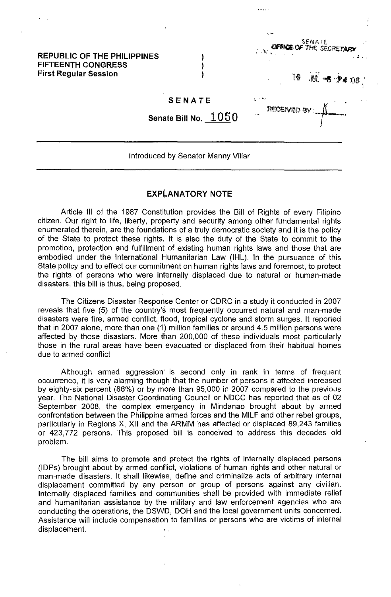### REPUBLIC OF THE PHILIPPINES FIFTEENTH CONGRESS First Regular Session

SENATE

) ) ) S€NATE<br>Sexter in E

, RECEM:!) *f1Y* : *.-II.--:* 

t ' ~,<

والروماني

THE SECRETARY

, '" • i

 $$08$ 

I

Senate Bill No.  $1050$ 

#### Introduced by Senator Manny Villar

### **EXPLANATORY NOTE**

Article III of the 1987 Constitution provides the Bill of Rights of every Filipino citizen. Our right to life, liberty, property and security among other fundamental rights enumerated therein, are the foundations of a truly democratic society and it is the policy of the State to protect these rights. It is also the duty of the State to commit to the promotion, protection and fulfillment of existing human rights laws and those that are embodied under the Intemational Humanitarian Law (IHL). In the pursuance of this State policy and to effect our commitment on human rights laws and foremost, to protect the rights of persons who were internally displaced due to natural or human-made disasters, this bill is thus, being proposed.

The Citizens Disaster Response Center or CDRC in a study it conducted in 2007 reveals that five (5) of the country's most frequently occurred natural and man-made disasters were fire, armed conflict, flood, tropical cyclone and storm surges. It reported that in 2007 alone, more than one (1) million families or around 4.5 million persons were affected by these disasters. More than 200,000 of these individuals most particularly those in the rural areas have been evacuated or displaced from their habitual homes due to armed conflict

Although armed aggression' is second only in rank in terms of frequent occurrence, it is very alarming though that the number of persons it affected increased by eighty-six percent (86%) or by more than 95,000 in 2007 compared to the previous year. The National Disaster Coordinating Council or NDCC has reported that as of 02 September 2008, the complex emergency in Mindanao brought about by armed confrontation between the Philippine armed forces and the MILF and other rebel groups, particularly in Regions X, XII and the ARMM has affected or displaced 89,243 families or 423,772 persons. This proposed bill is conceived to address this decades old problem.

The bill aims to promote and protect the rights of internally displaced persons (lOPs) brought about by armed conflict, violations of human rights and other natural or man-made disasters. It shall likewise, define and criminalize acts of arbitrary internal displacement committed by any person or group of persons against any civilian. Internally displaced families and communities shall be provided with immediate relief and humanitarian assistance by the military and law enforcement agencies who are conducting the operations, the DSWD, DOH and the local government units concerned. Assistance will include compensation to families or persons who are victims of internal displacement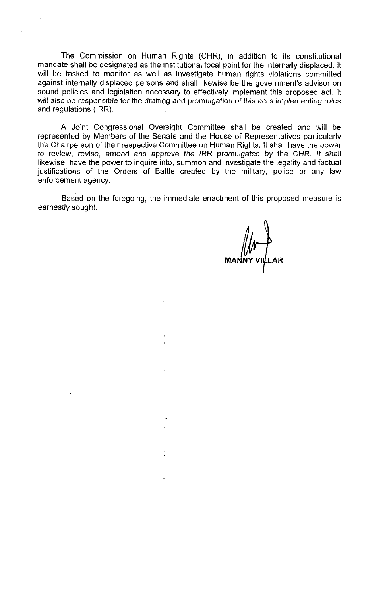The Commission on Human Rights (CHR), in addition to its constitutional mandate shall be designated as the institutional focal point for the internally displaced. It will be tasked to monitor as well as investigate human rights violations committed against internally displaced persons and shall likewise be the government's advisor on sound policies and legislation necessary to effectively implement this proposed act. It will also be responsible for the drafting and promulgation of this act's implementing rules and regulations (IRR).

A Joint Congressional Oversight Committee shall be created and will be represented by Members of the Senate and the House of Representatives particularly the Chairperson of their respective Committee on Human Rights. It shall have the power to review, revise, amend and approve the IRR promulgated by the CHR. It shall likewise, have the power to inquire into, summon and investigate the legality and factual justifications of the Orders of Battle created by the military, police or any law enforcement agency.

Based on the foregoing, the immediate enactment of this proposed measure is earnestly sought.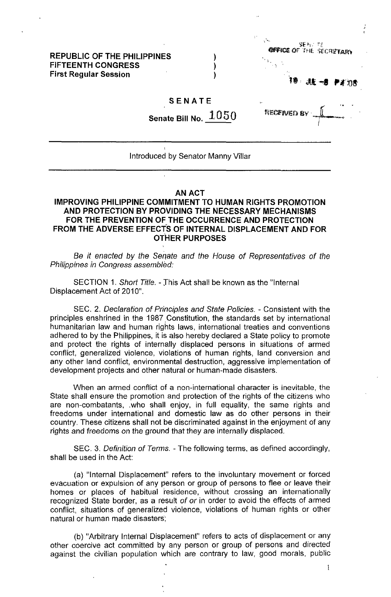# **REPUBLIC OF THE PHILIPPINES FIFTEENTH CONGRESS First Regular Session**



10 **JE -0 PA 75** 

#### **SENATE**

**Senate Bill No.** 1050

) ) )

**NECENED E** 

## Introduced by Senator Manny Villar

#### AN ACT

# **IMPROVING PHILIPPINE COMMITMENT TO HUMAN RIGHTS PROMOTION AND PROTECTION BY PROVIDING THE NECESSARY MECHANISMS FOR THE PREVENTION OF THE OCCURRENCE AND PROTECTION FROM THE ADVERSE EFFECTS OF INTERNAL DISPLACEMENT AND FOR OTHER PURPOSES**

Be it enacted by the Senate and the House of Representatives of the Philippines in Congress assembled:

SECTION 1. Short Title. - Jhis Act shall be known as the "Internal Displacement Act of 2010".

SEC. 2. Declaration of Principles and State Policies. - Consistent with the principles enshrined in the 1987 Constitution, the standards set by international humanitarian law and human rights laws, international treaties and conventions adhered to by the Philippines, it is also hereby declared a State policy to promote and protect the rights of internally displaced persons in situations of armed conflict, generalized violence, violations of human rights, land conversion and any other land conflict, environmental destruction, aggressive implementation of development projects and other natural or human-made disasters.

When an armed conflict of a non-international character is inevitable, the State shall ensure the promotion and protection of the rights of the citizens who are non-combatants, .who shall enjoy, in full equality, the same rights and freedoms under international and domestic law as do other persons in their country. These citizens shall not be discriminated against in the enjoyment of any rights and freedoms on the ground that they are internally displaced.

SEC. 3. Definition of Terms. - The following terms, as defined accordingly, shall be used in the Act:

(a) "Internal Displacement" refers to the involuntary movement or forced evacuation or expulsion of any person or group of persons to flee or leave their homes or places of habitual residence, without crossing an internationally recognized State border, as a result of or in order to avoid the effects of armed conflict, situations of generalized violence, violations of human rights or other natural or human made disasters;

(b) "Arbitrary Internal Displacement" refers to acts of displacement or any other coercive act committed by any person or group of persons and directed against the civilian population which are contrary to law, good morals, public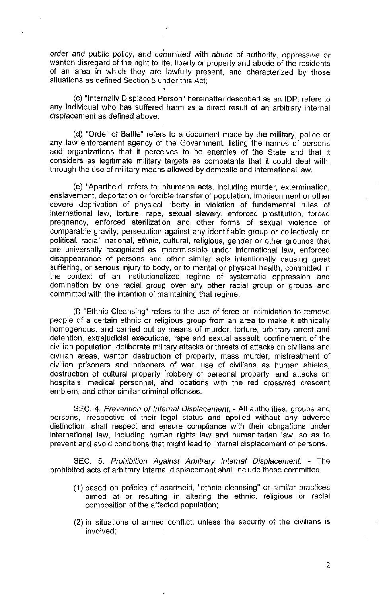order and public policy, and committed with abuse of authority, oppressive or wanton disregard of the right to life, liberty or property and abode of the residents of an area in which they are lawfully present, and characterized by those situations as defined Section 5 under this Act;

(c) "Internally Displaced Person" hereinafter described as an lOP, refers to any individual who has suffered harm as a direct result of an arbitrary internal displacement as defined above.

(d) "Order of Battle" refers to a document made by the military, police or any law enforcement agency of the Government, listing the names of persons and organizations that it perceives to be enemies of the State and that it considers as legitimate military targets as combatants that it could deal with, through the use of military means allowed by domestic and international law.

(e) "Apartheid" refers to inhumane acts, including murder, extermination, enslavement, deportation or forcible transfer of population, imprisonment or other severe deprivation of physical liberty in violation of fundamental rules of international law, torture, rape, sexual slavery, enforced prostitution, forced pregnancy, enforced sterilization and other forms of sexual violence of comparable gravity, persecution against any identifiable group or collectively on political, racial, national, ethnic, cultural, religious, gender or other grounds that are universally recognized as impermissible under international law, enforced disappearance of persons and other similar acts intentionally causing great suffering, or serious injury to body, or to mental or physical health, committed in the context of an institutionalized regime of systematic oppression and domination by one racial group over any other racial group or groups and committed with the intention of maintaining that regime.

(f) "Ethnic Cleansing" refers to the use of force or intimidation to remove people of a certain ethnic or religious group from an area to make it ethnically homogenous, and carried out by means of murder, torture, arbitrary arrest and detention, extrajudicial executions, rape and sexual assault, confinement of the civilian population, deliberate military attacks or threats of attacks on civilians and civilian areas, wanton destruction of property, mass murder, mistreatment of civilian prisoners and prisoners of war, use of civilians as human shields, destruction of cultural property, 'robbery of personal property, and attacks on hospitals, medical personnel, a'nd locations with the red cross/red crescent emblem, and other similar criminal offenses.

SEC. 4. Prevention of Infernal Displacement. - All authorities, groups and persons, irrespective of their legal status and applied without any adverse distinction, shall respect and ensure compliance with their obligations under international law, including hum'an rights law and humanitarian law, so as to prevent and avoid conditions that might lead to internal displacement of persons.

SEC. 5. Prohibition Against Arbitrary Internal Displacement. - The prohibited acts of arbitrary internal displacement shall include those committed:

- (1) based on policies of apartheid, "ethnic cleansing" or similar practices aimed at or resulting in altering the ethnic, religious or racial composition of the affected population;
- (2) in situations of armed conflict, unless the security of the civilians is involved;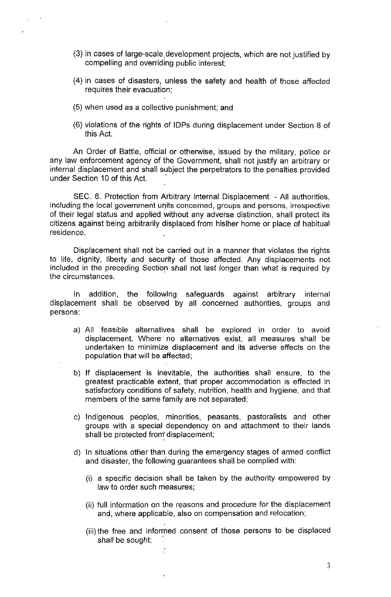- (3) in cases of large-scale,development projects, which are not justified by compelling and overriding public interest;
- (4) in cases of disasters, unless the safety and health of those affected requires their evacuation;
- (5) when used as a collective punishment; and
- (6) violations of the rights of lOPs during displacement under Section 8 of this Act

An Order of Battle, official or otherwise, issued by the military, police or any law enforcement agency of the Government, shall not justify an arbitrary or internal displacement and shall subject the perpetrators to the penalties provided under Section 10 of this Act.

SEC. 6. Protection from Arbitrary Internal Displacement. - All authorities, including the local government units concerned, groups and persons, irrespective of their legal status and applied without any adverse distinction, shall protect its citizens against being arbitrarily displaced from hislher home or place of habitual residence,

Displacement shall not be carried out in a manner that violates the rights to life, dignity, liberty and security of those affected. Any displacements not included in the preceding Section shall not last longer than what is required by the circumstances.

In addition, the following safeguards against arbitrary internal displacement shall be observed by all concerned authorities, groups and persons:

- a) All feasible alternatives shall be explored in order to avoid displacement. Where no alternatives exist, all measures shall be undertaken to minimize displacement and its adverse effects on the population that will be affected;
- b) If displacement is inevitable, the authorities shall ensure, to the greatest practicable extent, that proper accommodation is effected in satisfactory conditions of safety, nutrition, health and hygiene, and that members of the same family are not separated;
- c) Indigenous peoples, minorities, peasants, pastoralists and other groups with a special dependency on and attachment to their lands shall be protected from: displacement;
- d) In situations other than during the emergency stages of armed conflict and disaster, the following guarantees shall be complied with:
	- (i) a specific decision shall be taken by the authority empowered by law to order such measures;
	- (ii) full information on the reasons and procedure for the displacement and, where applicable, also on compensation and relocation;
	- (iii) the free and informed consent of those persons to be displaced shall be sought;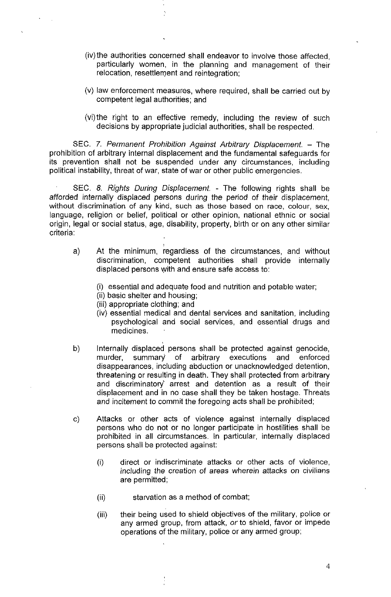- (iv) the authorities concerned shall endeavor to involve those affected, particularly women, in the planning and management of their relocation, resettlement and reintegration;
- (v) law enforcement measures, where required, shall be carried out by competent legal authorities; and
- (vi)the right to an effective remedy, including the review of such decisions by appropriate judicial authorities, shall be respected.

SEC. 7. Permanent Prohibition Against Arbitrary Displacement. - The prohibition of arbitrary internal displacement and the fundamental safeguards for its prevention shall not be suspended under any circumstances, including political instability, threat of war, state of war or other public emergencies.

SEC. 8. Rights During Displacement. - The following rights shall be afforded internally displaced persons during the period of their displacement, without discrimination of any kind, such as those based on race, colour, sex, language, religion or belief, political or other opinion, national ethnic or social origin, legal or social status, age, disability, property, birth or on any other similar criteria:

- a) At the minimum, regardless of the circumstances, and without discrimination, competent authorities shall provide internally displaced persons with and ensure safe access to:
	- (i) essential and adequate food and nutrition and potable water;
	- (ii) basic shelter and housing;
	- (iii) appropriate clothing; and
	- (iv) essential medical and dental services and sanitation, including psychological and social services, and essential drugs and medicines.
- b) Internally displaced persons shall be protected against genocide, murder, summary of arbitrary executions and enforced disappearances, including abduction or unacknowledged detention, threatening or resulting in death. They shall protected from arbitrary and discriminatory' arrest and detention as a result of their displacement and in no case shall they be taken hostage. Threats and incitement to commit the foregoing acts shall be prohibited;
- c) Attacks or other acts of violence against internally displaced persons who do not or no longer participate in hostilities shall be prohibited in all circumstances. In particular, internally displaced persons shall be protected against:
	- (i) direct or indiscriminate attacks or other acts of violence, including the creation of areas wherein attacks on civilians are permitted;
	- (ii) starvation as a method of combat;
	- (iii) their being used to shield objectives of the military, police or any armed group, from attack, or to shield, favor or impede operations of the military, police or any armed group;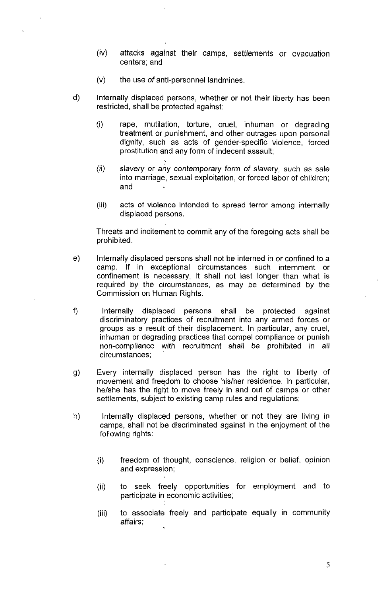- (iv) attacks against their camps, settlements or evacuation centers; and
- $(v)$  the use *of* anti-personnel landmines.
- d) Internally displaced persons, whether or not their liberty has been restricted, shall be protected against:
	- (i) rape, mutilation, torture, cruel, inhuman or degrading treatment or punishment, and other outrages upon personal dignity, such as acts of gender-specific violence, forced prostitution and any form of indecent assault;
	- (ii) slavery or any contemporary form of slavery, such as sale into marriage, sexual exploitation, or forced labor of children; and
	- (iii) acts of violence intended to spread terror among internally displaced persons.

Threats and incitement to commit any of the foregoing acts shall be prohibited.

- e) Internally displaced persons shall not be interned in or confined to a camp. If in exceptional circumstances such internment or confinement is necessary, it shall not last longer than what is required by the circumstances, as may be determined by the Commission on Human Rights.
- f) Internally displaced persons shall be protected against discriminatory practices of recruitment into any armed forces or groups as a result of their displacement. In particular, any cruel, inhuman or degrading practices that compel compliance or punish non-compliance with recruitment shall be prohibited in all circumstances;
- g) Every internally displaced person has the right to liberty of movement and freedom to choose his/her residence. In particular, he/she has the right to move freely in and out of camps or other settlements, subject to existing camp rules and regulations;
- h) Internally displaced persons, whether or not they are living in camps, shall not be discriminated against in the enjoyment of the following rights:
	- (i) freedom of thought, conscience, religion or belief, opinion and expression;
	- (ii) to seek freely opportunities for employment and to participate in economic activities;
	- (iii) to associate freely and participate equally in community affairs;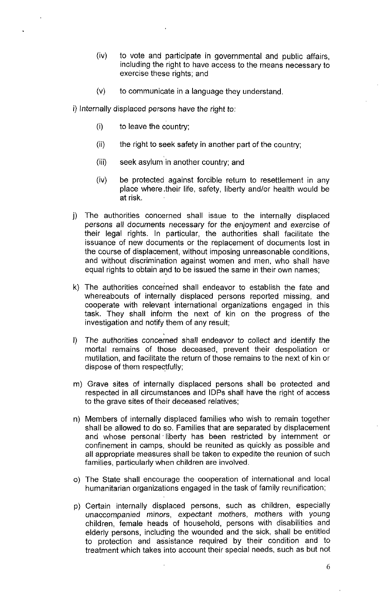- (iv) to vote and participate in governmental and public affairs, including the right to have access to the means necessary to exercise these rights; and
- $(v)$  to communicate in a language they understand.

i) Internally displaced persons have the right to:

- (i) to leave the country;
- (ii) the right to seek safety in another part of the country;
- (iii) seek asylum in another country; and
- (iv) be protected against forcible return to resettlement in any place where .their life, safety, liberty and/or health would be at risk.
- j) The authorities concerned shall issue to the internally displaced persons all documents necessary for the enjoyment and exercise of their legal rights. In particular, the authorities shall facilitate the issuance of new documents or the replacement of documents lost in the course of displacement, without imposing unreasonable conditions, and without discrimination against women and men, who shall have equal rights to obtain and to be issued the same in their own names;
- k) The authorities concerned shall endeavor to establish the fate and whereabouts of internally displaced persons reported missing, and cooperate with relevant international organizations engaged in this task. They shall inform the next of kin on the progress of the investigation and notify them of any result;
- , I) The authorities concerned shall endeavor to collect and identify the mortal remains of those deceased, prevent their despoliation or mutilation, and facilitate the return of those remains to the next of kin or dispose of them respectfully;
- m) Grave sites of internally displaced persons shall be protected and respected in all circumstances and lOPs shall have the right of access to the grave sites of their deceased relatives;
- n) Members of internally displaced families who wish to remain together shall be allowed to do so. Families that are separated by displacement and whose personal' liberty has been restricted by internment or confinement in camps, should be reunited as quickly as possible and all appropriate measures shall be taken to expedite the reunion of such families, particularly when children are involved.
- 0) The State shall encourage the cooperation of international and local humanitarian organizations engaged in the task of family reunification;
- p) Certain internally displaced persons, such as children, especially unaccompanied minors, expectant mothers, mothers with young children, female heads of household, persons with disabilities and elderly persons, including the wounded and the sick, shall be entitled to protection and assistance required by their condition and to treatment which takes into account their special needs, such as but not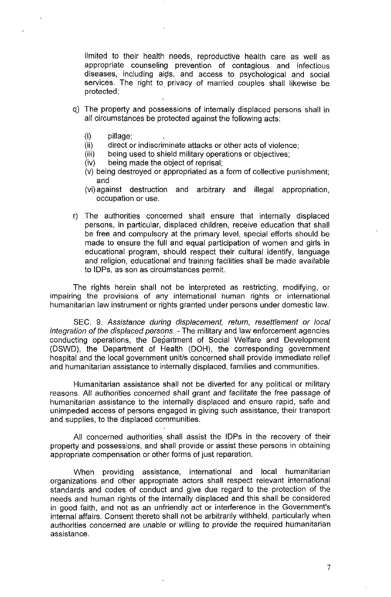limited to their health needs, reproductive health care as well as appropriate counseling prevention of contagious and infectious diseases, including aigs, and access to psychological and social services. The right to privacy of married couples shall likewise be protected;

- q) The property and possessions of internally displaced persons shall in all circumstances be protected against the following acts:
	- (i) pillage;

 $\ddot{\cdot}$ 

- (ii) direct or indiscriminate attacks or other acts of violence;<br>(iii) being used to shield military operations or objectives:
- being used to shield military operations or objectives;
- (iv) being made the object of reprisal;
- $(v)$  being destroyed or appropriated as a form of collective punishment; and
- (vi) against destruction and arbitrary and illegal appropriation, occupation or use.
- r) The authorities concerned shall ensure that internally displaced persons, in particular, displaced children, receive education that shall be free and compulsory at the primary level, special efforts should be made to ensure the full and equal participation of women and girls in educational program, should respect their cultural identify, language and religion, educational and training facilities shall be made available to IDPs, as son as circumstances permit.

The rights herein shall not be interpreted as restricting, modifying, or impairing the provisions of any international human rights or international humanitarian law instrument or rights granted under persons under domestic law.

SEC. 9. Assistance during displacement, retum, resettlement or local integration of the displaced persons. - The military and law enforcement agencies conducting operations, the Department of Social Welfare and Development (DSWD), the Department of Health (DOH), the corresponding government hospital and the local government unit/s concerned shall provide immediate relief and humanitarian assistance to internally displaced, families and communities.

Humanitarian assistance shall not be diverted for any political or military reasons. All authorities concerned shall grant and facilitate the free passage of humanitarian assistance to the internally displaced and ensure rapid, safe and unimpeded access of persons engaged in giving such assistance, their transport and supplies, to the displaced communities.

All concerned authorities shall assist the IDPs in the recovery of their property and possessions, and shall provide or assist these persons in obtaining appropriate compensation or other forms of just reparation.

When providing assistance, international and local humanitarian organizations and other appropriate actors shall respect relevant international standards and codes of conduct and give due regard to the protection of the needs and human rights of the internally displaced and this shall be considered in good faith, and not as an unfriendly act or interference in the Government's internal affairs. Consent thereto shall not be arbitrarily withheld, particularly when authorities concerned are unable or willing to provide the required humanitarian assistance.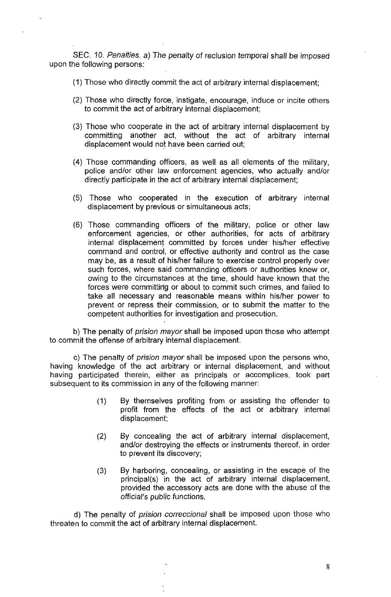SEC. 10. Penalties. a) The penalty of reclusion temporal shall be imposed upon the following persons:

(1) Those who directly commit the act of arbitrary internal displacement;

- (2) Those who directly force, instigate, encourage, induce or incite others to commit the act of arbitrary internal displacement;
- (3) Those who cooperate in the act of arbitrary internal displacement by committing another act, without the act of arbitrary internal displacement would not have been carried out;
- (4) Those commanding officers, as well as all elements of the military, police and/or other law enforcement agencies, who actually and/or directly participate in the act of arbitrary internal displacement;
- (5) Those who cooperated in the execution of arbitrary internal displacement by previous or simultaneous acts;
- (6) Those commanding officers of the military, police or other law enforcement agencies, or other authorities, for acts of arbitrary internal displacement committed by forces under his/her effective command and control, or effective authority and control as the case may be, as a result of his/her failure to exercise control properly over such forces, where said commanding officers or authorities knew or, owing to the circumstances at the time, should have known that the forces were committing or about to commit such crimes, and failed to take all necessary and reasonable means within his/her power to prevent or repress their commission, or to submit the matter to the competent authorities for investigation and prosecution.

b) The penalty of *prision mayor* shall be imposed upon those who attempt to commit the offense of arbitrary internal displacement.

c) The penalty of prision mayor shall be imposed upon the persons who, having knowledge of the act arbitrary or internal displacement, and without having participated therein, either as principals or accomplices, took part subsequent to its commission in any of the following manner:

- (1) By themselves profiting from or assisting the offender to profit from the effects of the act or arbitrary internal displacement;
- (2) By concealing the act of arbitrary internal displacement, and/or destroying the effects or instruments thereof, in order to prevent its discovery;
- (3) By harboring, concealing, or assisting in the escape of the principal(s) in the act of arbitrary' internal displacement, provided the, accessory acts are done with the abuse of the official's public functions.

d) The penalty of *prision correccional* shall be imposed upon those who threaten to commit the act of arbitrary internal displacement.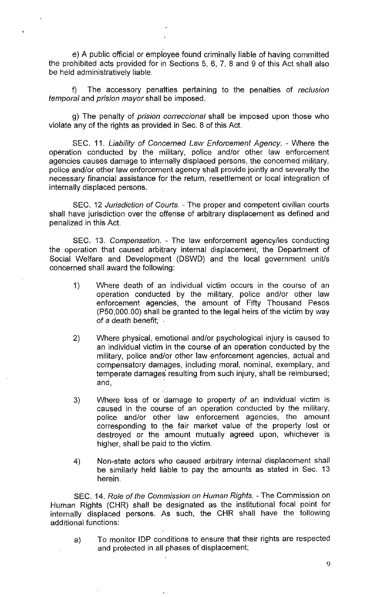e) A public official or employee found criminally liable of having committed the prohibited acts provided for in Sections 5, 6, 7, 8 and 9 of this Act shall also be held administratively liable.

f) The accessory penalties pertaining to the penalties of reclusion temporal and prision mayor shall be imposed.

g) The penalty of prision correccional shall be imposed upon those who violate any of the rights as provided in Sec. 8 of this Act.

SEC. 11. Liability of Concerned Law Enforcement Agency. - Where the operation conducted by the military, police andlor other law enforcement agencies causes damage to internally displaced persons, the concerned military, police and/or other law enforcement agency shall provide jointly and severally the necessary financial assistance for the return, resettlement or local integration of internally displaced persons.

SEC. 12 Jurisdiction of Courts. - The proper and competent civilian courts shall have jurisdiction over the offense of arbitrary displacement as defined and penalized in this Act.

SEC. 13. Compensation. - The law enforcement agency/ies conducting the operation that caused arbitrary internal displacement, the Department of Social Welfare and Development (DSWD) and the local government unit/s concerned shall award the following:

- 1) Where death of an individual victim occurs in the course of an operation conducted by the military, police and/or other law enforcement agencies, the amount of Fifty Thousand Pesos (P50,OOO.OO) shall be granted to the legal heirs of the victim by way of a death benefit;
- 2) Where physical, emotional and/or psychological injury is caused to an individual victim in the course of an operation conducted by the military, police and/or other law enforcement agencies, actual and compensatory damages, including moral, nominal, exemplary, and temperate damages resulting from such injury, shall be reimbursed; and, .
- 3) Where loss of or damage to property of an individual victim is caused in the course of an operation conducted by the military, police and/or other law enforcement agencies, the amount corresponding to the fair market value of the property lost or destroyed or the amount mutually agreed upon, whichever is higher, shall be paid to the victim.
- 4) Non-state actors who caused arbitrary internal displacement shall be similarly held liable to pay the amounts as stated in Sec. 13 herein.

SEC. 14. Role of the Commission on Human Rights. - The Commission on Human Rights (CHR) shall be designated as the institutional focal point for internally displaced persons. As such, the CHR shall have the following additional functions:

a) To monitor IDP conditions to ensure that their rights are respected and protected in all phases of displacement;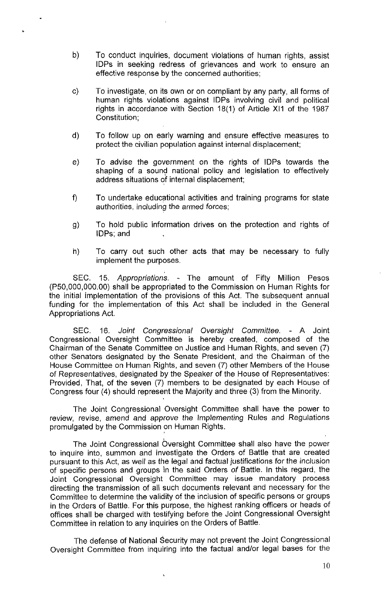- b) To conduct inquiries, document violations of human rights, assist lOPs in seeking redress of grievances and work to ensure an effective response by the concerned authorities;
- c) To investigate, on its own or on compliant by any party, all forms of human rights violations against lOPs involving civil and political rights in accordance with Section 18(1) of Article XI1 of the 1987 Constitution;
- d) To follow up on early warning and ensure effective measures to protect the civilian population against internal displacement;
- e) To advise the government on the rights of lOPs towards the shaping of a sound national policy and legislation to effectively address situations of internal displacement;
- f) To undertake educational activities and training programs for state authorities, including the armed forces;
- g) To hold public information drives on the protection and rights of lOPs; and
- h) To carry out such other acts that may be necessary to fully implement the purposes.

SEC. 15. Appropriations. - The amount of Fifty Million Pesos (P50,OOO,OOO.OO) shall be appropriated to the Commission on Human Rights for the initial implementation of the provisions of this Act. The subsequent annual funding for the implementation of this Act shall be included in the General Appropriations Act.

SEC. 16. Joint Congressional OverSight Committee. - A Joint Congressional Oversight Committee is hereby created, composed of the Chairrnan of the Senate Committee on Justice and Human Rights, and seven (7) other Senators designated by the Senate President, and the Chairman of the House Committee on Human Rights, and seven (7) other Members of the House of Representatives, designated by the Speaker of the House of Representatives: Provided, That, of the seven (7) members to be designated by each House of Congress four (4) should represent the Majority and three (3) from the Minority.

The Joint Congressional Oversight Committee shall have the power to review, revise, amend and approve the Implementing Rules and Regulations promulgated by the Commission on Human Rights.

The Joint Congressional Oversight Committee shall also have the power to inquire into, summon and investigate the Orders of Battle that are created pursuant to this Act, as well as the legal and factual justifications for the inclusion of specific persons and groups in the said Orders of Battle. In this regard, the Joint Congressional Oversight Committee may issue mandatory process directing the transmission of all such documents relevant and necessary for the Committee to determine the validity of the inclusion of specific persons or groups in the Orders of Battle. For this purpose, the highest ranking officers or heads of offices shall be charged with testifying before the Joint Congressional Oversight Committee in relation to any inquiries on the Orders of Battle.

The defense of National Security may not prevent the Joint Congressional Oversight Committee from inquiring into the factual and/or legal bases for the